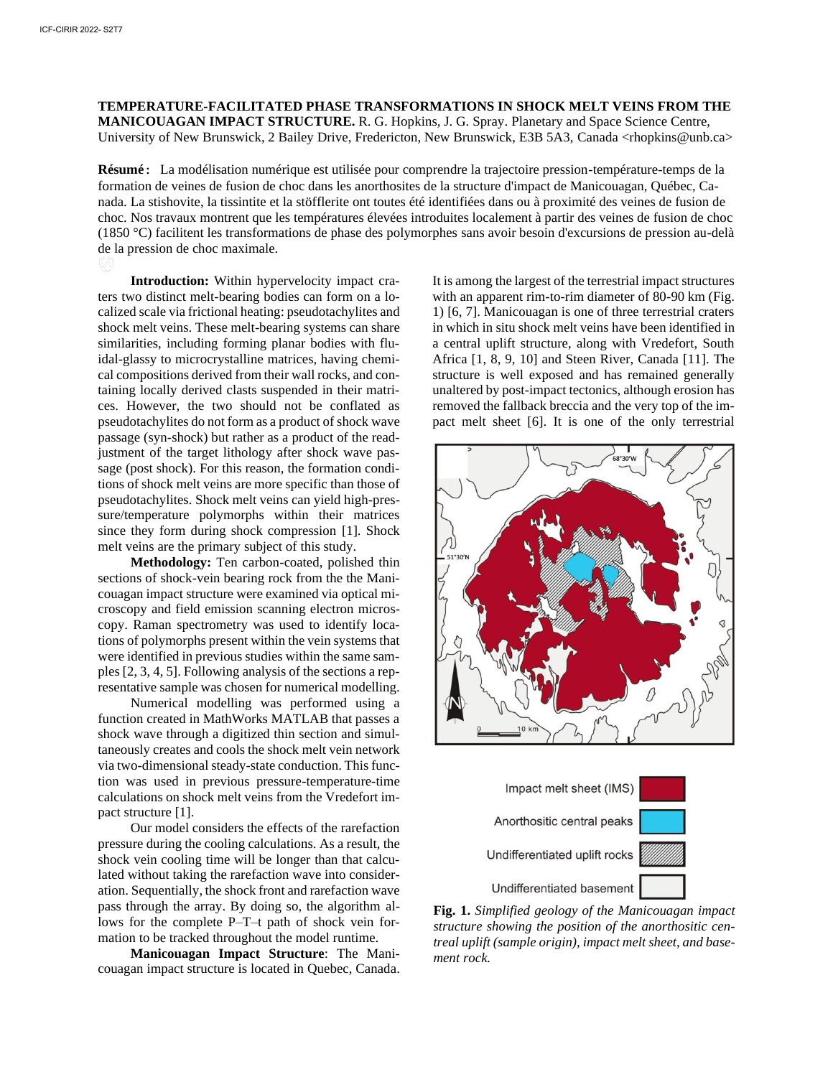**TEMPERATURE-FACILITATED PHASE TRANSFORMATIONS IN SHOCK MELT VEINS FROM THE MANICOUAGAN IMPACT STRUCTURE.** R. G. Hopkins, J. G. Spray. Planetary and Space Science Centre, University of New Brunswick, 2 Bailey Drive, Fredericton, New Brunswick, E3B 5A3, Canada <rhopkins@unb.ca>

**Résumé:** La modélisation numérique est utilisée pour comprendre la trajectoire pression-température-temps de la formation de veines de fusion de choc dans les anorthosites de la structure d'impact de Manicouagan, Québec, Canada. La stishovite, la tissintite et la stöfflerite ont toutes été identifiées dans ou à proximité des veines de fusion de choc. Nos travaux montrent que les températures élevées introduites localement à partir des veines de fusion de choc (1850 °C) facilitent les transformations de phase des polymorphes sans avoir besoin d'excursions de pression au-delà de la pression de choc maximale.

**Introduction:** Within hypervelocity impact craters two distinct melt-bearing bodies can form on a localized scale via frictional heating: pseudotachylites and shock melt veins. These melt-bearing systems can share similarities, including forming planar bodies with fluidal-glassy to microcrystalline matrices, having chemical compositions derived from their wall rocks, and containing locally derived clasts suspended in their matrices. However, the two should not be conflated as pseudotachylites do not form as a product of shock wave passage (syn-shock) but rather as a product of the readjustment of the target lithology after shock wave passage (post shock). For this reason, the formation conditions of shock melt veins are more specific than those of pseudotachylites. Shock melt veins can yield high-pressure/temperature polymorphs within their matrices since they form during shock compression [1]. Shock melt veins are the primary subject of this study.

**Methodology:** Ten carbon-coated, polished thin sections of shock-vein bearing rock from the the Manicouagan impact structure were examined via optical microscopy and field emission scanning electron microscopy. Raman spectrometry was used to identify locations of polymorphs present within the vein systems that were identified in previous studies within the same samples [2, 3, 4, 5]. Following analysis of the sections a representative sample was chosen for numerical modelling.

Numerical modelling was performed using a function created in MathWorks MATLAB that passes a shock wave through a digitized thin section and simultaneously creates and cools the shock melt vein network via two-dimensional steady-state conduction. This function was used in previous pressure-temperature-time calculations on shock melt veins from the Vredefort impact structure [1].

Our model considers the effects of the rarefaction pressure during the cooling calculations. As a result, the shock vein cooling time will be longer than that calculated without taking the rarefaction wave into consideration. Sequentially, the shock front and rarefaction wave pass through the array. By doing so, the algorithm allows for the complete P–T–t path of shock vein formation to be tracked throughout the model runtime.

**Manicouagan Impact Structure**: The Manicouagan impact structure is located in Quebec, Canada.

It is among the largest of the terrestrial impact structures with an apparent rim-to-rim diameter of 80-90 km (Fig. 1) [6, 7]. Manicouagan is one of three terrestrial craters in which in situ shock melt veins have been identified in a central uplift structure, along with Vredefort, South Africa [1, 8, 9, 10] and Steen River, Canada [11]. The structure is well exposed and has remained generally unaltered by post-impact tectonics, although erosion has removed the fallback breccia and the very top of the impact melt sheet [6]. It is one of the only terrestrial





**Fig. 1.** *Simplified geology of the Manicouagan impact structure showing the position of the anorthositic centreal uplift (sample origin), impact melt sheet, and basement rock.*